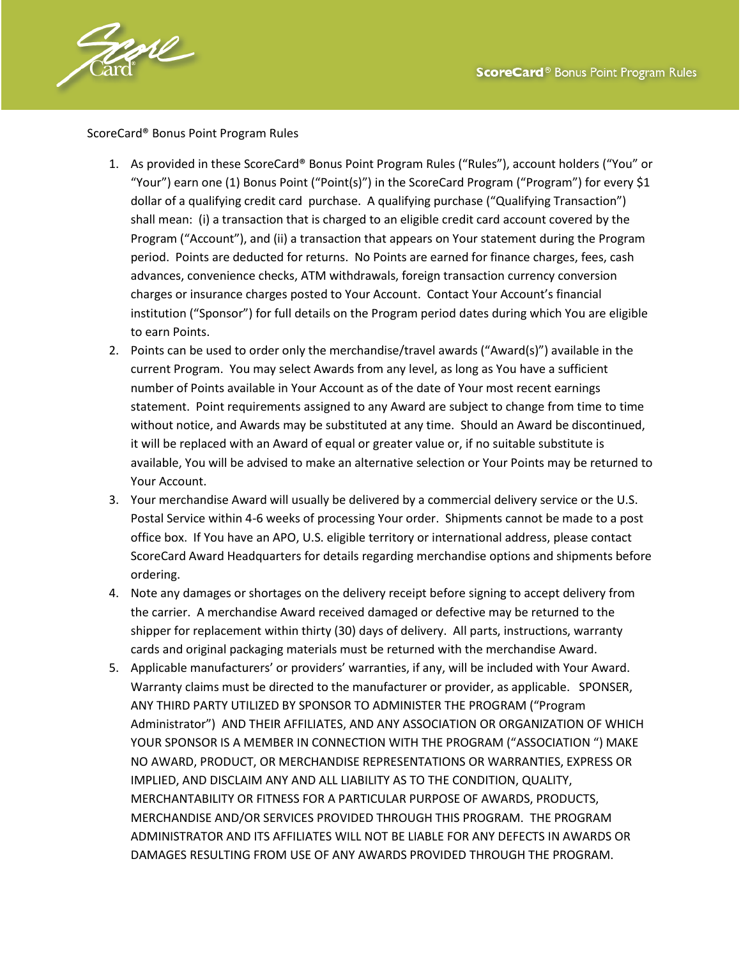

ScoreCard® Bonus Point Program Rules

- 1. As provided in these ScoreCard® Bonus Point Program Rules ("Rules"), account holders ("You" or "Your") earn one (1) Bonus Point ("Point(s)") in the ScoreCard Program ("Program") for every \$1 dollar of a qualifying credit card purchase. A qualifying purchase ("Qualifying Transaction") shall mean: (i) a transaction that is charged to an eligible credit card account covered by the Program ("Account"), and (ii) a transaction that appears on Your statement during the Program period. Points are deducted for returns. No Points are earned for finance charges, fees, cash advances, convenience checks, ATM withdrawals, foreign transaction currency conversion charges or insurance charges posted to Your Account. Contact Your Account's financial institution ("Sponsor") for full details on the Program period dates during which You are eligible to earn Points.
- 2. Points can be used to order only the merchandise/travel awards ("Award(s)") available in the current Program. You may select Awards from any level, as long as You have a sufficient number of Points available in Your Account as of the date of Your most recent earnings statement. Point requirements assigned to any Award are subject to change from time to time without notice, and Awards may be substituted at any time. Should an Award be discontinued, it will be replaced with an Award of equal or greater value or, if no suitable substitute is available, You will be advised to make an alternative selection or Your Points may be returned to Your Account.
- 3. Your merchandise Award will usually be delivered by a commercial delivery service or the U.S. Postal Service within 4-6 weeks of processing Your order. Shipments cannot be made to a post office box. If You have an APO, U.S. eligible territory or international address, please contact ScoreCard Award Headquarters for details regarding merchandise options and shipments before ordering.
- 4. Note any damages or shortages on the delivery receipt before signing to accept delivery from the carrier. A merchandise Award received damaged or defective may be returned to the shipper for replacement within thirty (30) days of delivery. All parts, instructions, warranty cards and original packaging materials must be returned with the merchandise Award.
- 5. Applicable manufacturers' or providers' warranties, if any, will be included with Your Award. Warranty claims must be directed to the manufacturer or provider, as applicable. SPONSER, ANY THIRD PARTY UTILIZED BY SPONSOR TO ADMINISTER THE PROGRAM ("Program Administrator") AND THEIR AFFILIATES, AND ANY ASSOCIATION OR ORGANIZATION OF WHICH YOUR SPONSOR IS A MEMBER IN CONNECTION WITH THE PROGRAM ("ASSOCIATION ") MAKE NO AWARD, PRODUCT, OR MERCHANDISE REPRESENTATIONS OR WARRANTIES, EXPRESS OR IMPLIED, AND DISCLAIM ANY AND ALL LIABILITY AS TO THE CONDITION, QUALITY, MERCHANTABILITY OR FITNESS FOR A PARTICULAR PURPOSE OF AWARDS, PRODUCTS, MERCHANDISE AND/OR SERVICES PROVIDED THROUGH THIS PROGRAM. THE PROGRAM ADMINISTRATOR AND ITS AFFILIATES WILL NOT BE LIABLE FOR ANY DEFECTS IN AWARDS OR DAMAGES RESULTING FROM USE OF ANY AWARDS PROVIDED THROUGH THE PROGRAM.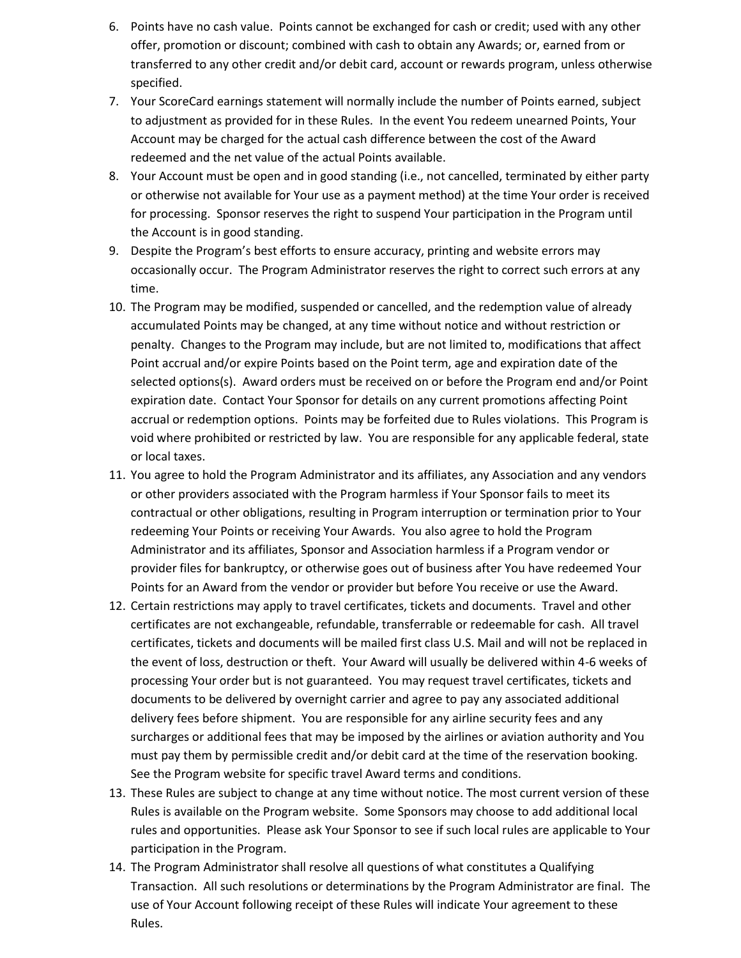- 6. Points have no cash value. Points cannot be exchanged for cash or credit; used with any other offer, promotion or discount; combined with cash to obtain any Awards; or, earned from or transferred to any other credit and/or debit card, account or rewards program, unless otherwise specified.
- 7. Your ScoreCard earnings statement will normally include the number of Points earned, subject to adjustment as provided for in these Rules. In the event You redeem unearned Points, Your Account may be charged for the actual cash difference between the cost of the Award redeemed and the net value of the actual Points available.
- 8. Your Account must be open and in good standing (i.e., not cancelled, terminated by either party or otherwise not available for Your use as a payment method) at the time Your order is received for processing. Sponsor reserves the right to suspend Your participation in the Program until the Account is in good standing.
- 9. Despite the Program's best efforts to ensure accuracy, printing and website errors may occasionally occur. The Program Administrator reserves the right to correct such errors at any time.
- 10. The Program may be modified, suspended or cancelled, and the redemption value of already accumulated Points may be changed, at any time without notice and without restriction or penalty. Changes to the Program may include, but are not limited to, modifications that affect Point accrual and/or expire Points based on the Point term, age and expiration date of the selected options(s). Award orders must be received on or before the Program end and/or Point expiration date. Contact Your Sponsor for details on any current promotions affecting Point accrual or redemption options. Points may be forfeited due to Rules violations. This Program is void where prohibited or restricted by law. You are responsible for any applicable federal, state or local taxes.
- 11. You agree to hold the Program Administrator and its affiliates, any Association and any vendors or other providers associated with the Program harmless if Your Sponsor fails to meet its contractual or other obligations, resulting in Program interruption or termination prior to Your redeeming Your Points or receiving Your Awards. You also agree to hold the Program Administrator and its affiliates, Sponsor and Association harmless if a Program vendor or provider files for bankruptcy, or otherwise goes out of business after You have redeemed Your Points for an Award from the vendor or provider but before You receive or use the Award.
- 12. Certain restrictions may apply to travel certificates, tickets and documents. Travel and other certificates are not exchangeable, refundable, transferrable or redeemable for cash. All travel certificates, tickets and documents will be mailed first class U.S. Mail and will not be replaced in the event of loss, destruction or theft. Your Award will usually be delivered within 4-6 weeks of processing Your order but is not guaranteed. You may request travel certificates, tickets and documents to be delivered by overnight carrier and agree to pay any associated additional delivery fees before shipment. You are responsible for any airline security fees and any surcharges or additional fees that may be imposed by the airlines or aviation authority and You must pay them by permissible credit and/or debit card at the time of the reservation booking. See the Program website for specific travel Award terms and conditions.
- 13. These Rules are subject to change at any time without notice. The most current version of these Rules is available on the Program website. Some Sponsors may choose to add additional local rules and opportunities. Please ask Your Sponsor to see if such local rules are applicable to Your participation in the Program.
- 14. The Program Administrator shall resolve all questions of what constitutes a Qualifying Transaction. All such resolutions or determinations by the Program Administrator are final. The use of Your Account following receipt of these Rules will indicate Your agreement to these Rules.